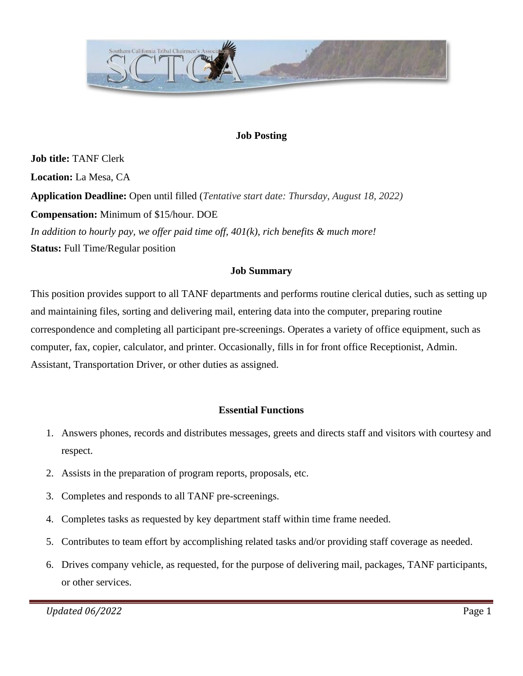

### **Job Posting**

**Job title:** TANF Clerk **Location:** La Mesa, CA **Application Deadline:** Open until filled (*Tentative start date: Thursday, August 18, 2022)* **Compensation:** Minimum of \$15/hour. DOE *In addition to hourly pay, we offer paid time off, 401(k), rich benefits & much more!* **Status:** Full Time/Regular position

#### **Job Summary**

This position provides support to all TANF departments and performs routine clerical duties, such as setting up and maintaining files, sorting and delivering mail, entering data into the computer, preparing routine correspondence and completing all participant pre-screenings. Operates a variety of office equipment, such as computer, fax, copier, calculator, and printer. Occasionally, fills in for front office Receptionist, Admin. Assistant, Transportation Driver, or other duties as assigned.

#### **Essential Functions**

- 1. Answers phones, records and distributes messages, greets and directs staff and visitors with courtesy and respect.
- 2. Assists in the preparation of program reports, proposals, etc.
- 3. Completes and responds to all TANF pre-screenings.
- 4. Completes tasks as requested by key department staff within time frame needed.
- 5. Contributes to team effort by accomplishing related tasks and/or providing staff coverage as needed.
- 6. Drives company vehicle, as requested, for the purpose of delivering mail, packages, TANF participants, or other services.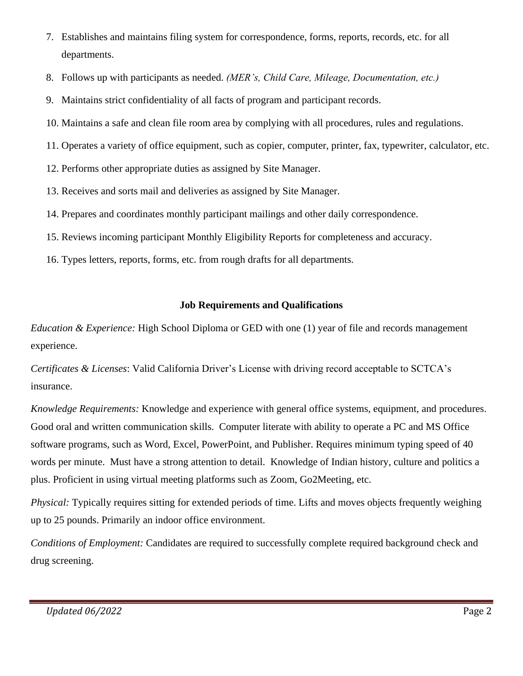- 7. Establishes and maintains filing system for correspondence, forms, reports, records, etc. for all departments.
- 8. Follows up with participants as needed. *(MER's, Child Care, Mileage, Documentation, etc.)*
- 9. Maintains strict confidentiality of all facts of program and participant records.
- 10. Maintains a safe and clean file room area by complying with all procedures, rules and regulations.
- 11. Operates a variety of office equipment, such as copier, computer, printer, fax, typewriter, calculator, etc.
- 12. Performs other appropriate duties as assigned by Site Manager.
- 13. Receives and sorts mail and deliveries as assigned by Site Manager.
- 14. Prepares and coordinates monthly participant mailings and other daily correspondence.
- 15. Reviews incoming participant Monthly Eligibility Reports for completeness and accuracy.
- 16. Types letters, reports, forms, etc. from rough drafts for all departments.

## **Job Requirements and Qualifications**

*Education & Experience:* High School Diploma or GED with one (1) year of file and records management experience.

*Certificates & Licenses*: Valid California Driver's License with driving record acceptable to SCTCA's insurance.

*Knowledge Requirements:* Knowledge and experience with general office systems, equipment, and procedures. Good oral and written communication skills. Computer literate with ability to operate a PC and MS Office software programs, such as Word, Excel, PowerPoint, and Publisher. Requires minimum typing speed of 40 words per minute. Must have a strong attention to detail. Knowledge of Indian history, culture and politics a plus. Proficient in using virtual meeting platforms such as Zoom, Go2Meeting, etc.

*Physical:* Typically requires sitting for extended periods of time. Lifts and moves objects frequently weighing up to 25 pounds. Primarily an indoor office environment.

*Conditions of Employment:* Candidates are required to successfully complete required background check and drug screening.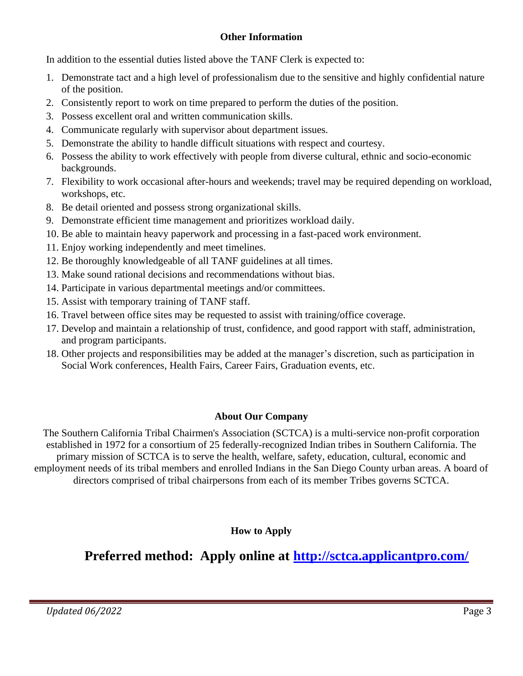## **Other Information**

In addition to the essential duties listed above the TANF Clerk is expected to:

- 1. Demonstrate tact and a high level of professionalism due to the sensitive and highly confidential nature of the position.
- 2. Consistently report to work on time prepared to perform the duties of the position.
- 3. Possess excellent oral and written communication skills.
- 4. Communicate regularly with supervisor about department issues.
- 5. Demonstrate the ability to handle difficult situations with respect and courtesy.
- 6. Possess the ability to work effectively with people from diverse cultural, ethnic and socio-economic backgrounds.
- 7. Flexibility to work occasional after-hours and weekends; travel may be required depending on workload, workshops, etc.
- 8. Be detail oriented and possess strong organizational skills.
- 9. Demonstrate efficient time management and prioritizes workload daily.
- 10. Be able to maintain heavy paperwork and processing in a fast-paced work environment.
- 11. Enjoy working independently and meet timelines.
- 12. Be thoroughly knowledgeable of all TANF guidelines at all times.
- 13. Make sound rational decisions and recommendations without bias.
- 14. Participate in various departmental meetings and/or committees.
- 15. Assist with temporary training of TANF staff.
- 16. Travel between office sites may be requested to assist with training/office coverage.
- 17. Develop and maintain a relationship of trust, confidence, and good rapport with staff, administration, and program participants.
- 18. Other projects and responsibilities may be added at the manager's discretion, such as participation in Social Work conferences, Health Fairs, Career Fairs, Graduation events, etc.

# **About Our Company**

The Southern California Tribal Chairmen's Association (SCTCA) is a multi-service non-profit corporation established in 1972 for a consortium of 25 federally-recognized Indian tribes in Southern California. The primary mission of SCTCA is to serve the health, welfare, safety, education, cultural, economic and employment needs of its tribal members and enrolled Indians in the San Diego County urban areas. A board of directors comprised of tribal chairpersons from each of its member Tribes governs SCTCA.

**How to Apply**

# **Preferred method: Apply online at<http://sctca.applicantpro.com/>**